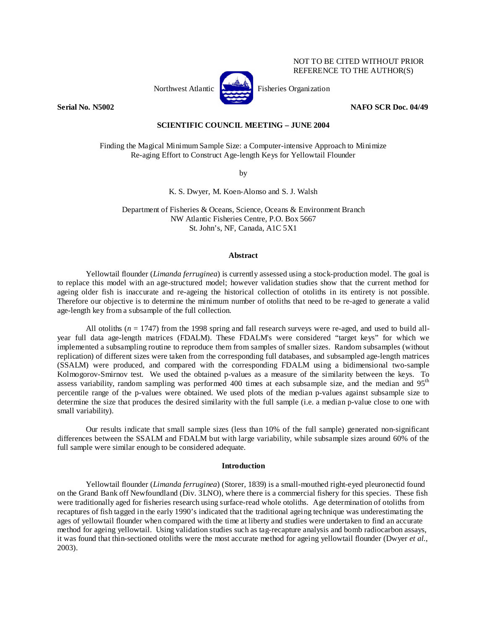

NOT TO BE CITED WITHOUT PRIOR REFERENCE TO THE AUTHOR(S)

**Serial No. N5002 NAFO SCR Doc. 04/49** 

# **SCIENTIFIC COUNCIL MEETING – JUNE 2004**

Finding the Magical Minimum Sample Size: a Computer-intensive Approach to Minimize Re-aging Effort to Construct Age-length Keys for Yellowtail Flounder

by

K. S. Dwyer, M. Koen-Alonso and S. J. Walsh

Department of Fisheries & Oceans, Science, Oceans & Environment Branch NW Atlantic Fisheries Centre, P.O. Box 5667 St. John's, NF, Canada, A1C 5X1

### **Abstract**

Yellowtail flounder (*Limanda ferruginea*) is currently assessed using a stock-production model. The goal is to replace this model with an age-structured model; however validation studies show that the current method for ageing older fish is inaccurate and re-ageing the historical collection of otoliths in its entirety is not possible. Therefore our objective is to determine the minimum number of otoliths that need to be re-aged to generate a valid age-length key from a subsample of the full collection.

All otoliths  $(n = 1747)$  from the 1998 spring and fall research surveys were re-aged, and used to build allyear full data age-length matrices (FDALM). These FDALM's were considered "target keys" for which we implemented a subsampling routine to reproduce them from samples of smaller sizes. Random subsamples (without replication) of different sizes were taken from the corresponding full databases, and subsampled age-length matrices (SSALM) were produced, and compared with the corresponding FDALM using a bidimensional two-sample Kolmogorov-Smirnov test. We used the obtained p-values as a measure of the similarity between the keys. To assess variability, random sampling was performed 400 times at each subsample size, and the median and 95<sup>th</sup> percentile range of the p-values were obtained. We used plots of the median p-values against subsample size to determine the size that produces the desired similarity with the full sample (i.e. a median p-value close to one with small variability).

Our results indicate that small sample sizes (less than 10% of the full sample) generated non-significant differences between the SSALM and FDALM but with large variability, while subsample sizes around 60% of the full sample were similar enough to be considered adequate.

### **Introduction**

Yellowtail flounder (*Limanda ferruginea*) (Storer, 1839) is a small-mouthed right-eyed pleuronectid found on the Grand Bank off Newfoundland (Div. 3LNO), where there is a commercial fishery for this species. These fish were traditionally aged for fisheries research using surface-read whole otoliths. Age determination of otoliths from recaptures of fish tagged in the early 1990's indicated that the traditional ageing technique was underestimating the ages of yellowtail flounder when compared with the time at liberty and studies were undertaken to find an accurate method for ageing yellowtail. Using validation studies such as tag-recapture analysis and bomb radiocarbon assays, it was found that thin-sectioned otoliths were the most accurate method for ageing yellowtail flounder (Dwyer *et al.*, 2003).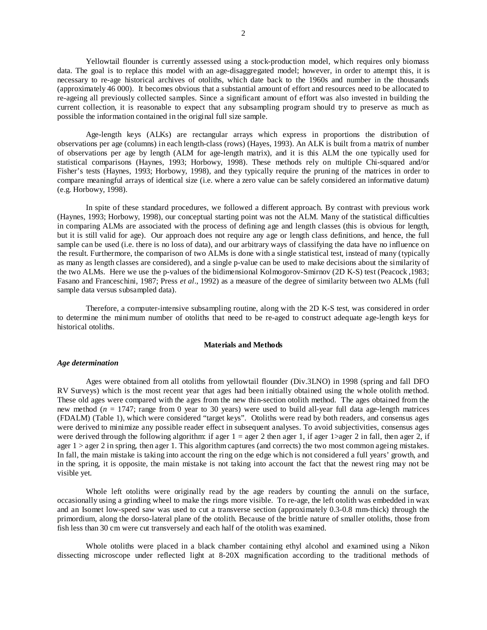Yellowtail flounder is currently assessed using a stock-production model, which requires only biomass data. The goal is to replace this model with an age-disaggregated model; however, in order to attempt this, it is necessary to re-age historical archives of otoliths, which date back to the 1960s and number in the thousands (approximately 46 000). It becomes obvious that a substantial amount of effort and resources need to be allocated to re-ageing all previously collected samples. Since a significant amount of effort was also invested in building the current collection, it is reasonable to expect that any subsampling program should try to preserve as much as possible the information contained in the original full size sample.

Age-length keys (ALKs) are rectangular arrays which express in proportions the distribution of observations per age (columns) in each length-class (rows) (Hayes, 1993). An ALK is built from a matrix of number of observations per age by length (ALM for age-length matrix), and it is this ALM the one typically used for statistical comparisons (Haynes, 1993; Horbowy, 1998). These methods rely on multiple Chi-squared and/or Fisher's tests (Haynes, 1993; Horbowy, 1998), and they typically require the pruning of the matrices in order to compare meaningful arrays of identical size (i.e. where a zero value can be safely considered an informative datum) (e.g. Horbowy, 1998).

In spite of these standard procedures, we followed a different approach. By contrast with previous work (Haynes, 1993; Horbowy, 1998), our conceptual starting point was not the ALM. Many of the statistical difficulties in comparing ALMs are associated with the process of defining age and length classes (this is obvious for length, but it is still valid for age). Our approach does not require any age or length class definitions, and hence, the full sample can be used (i.e. there is no loss of data), and our arbitrary ways of classifying the data have no influence on the result. Furthermore, the comparison of two ALMs is done with a single statistical test, instead of many (typically as many as length classes are considered), and a single p-value can be used to make decisions about the similarity of the two ALMs. Here we use the p-values of the bidimensional Kolmogorov-Smirnov (2D K-S) test (Peacock ,1983; Fasano and Franceschini, 1987; Press *et al*., 1992) as a measure of the degree of similarity between two ALMs (full sample data versus subsampled data).

Therefore, a computer-intensive subsampling routine, along with the 2D K-S test, was considered in order to determine the minimum number of otoliths that need to be re-aged to construct adequate age-length keys for historical otoliths.

## **Materials and Methods**

### *Age determination*

Ages were obtained from all otoliths from yellowtail flounder (Div.3LNO) in 1998 (spring and fall DFO RV Surveys) which is the most recent year that ages had been initially obtained using the whole otolith method. These old ages were compared with the ages from the new thin-section otolith method. The ages obtained from the new method (*n* = 1747; range from 0 year to 30 years) were used to build all-year full data age-length matrices (FDALM) (Table 1), which were considered "target keys". Otoliths were read by both readers, and consensus ages were derived to minimize any possible reader effect in subsequent analyses. To avoid subjectivities, consensus ages were derived through the following algorithm: if ager  $1 =$  ager 2 then ager 1, if ager 1>ager 2 in fall, then ager 2, if ager  $1 >$  ager 2 in spring, then ager 1. This algorithm captures (and corrects) the two most common ageing mistakes. In fall, the main mistake is taking into account the ring on the edge which is not considered a full years' growth, and in the spring, it is opposite, the main mistake is not taking into account the fact that the newest ring may not be visible yet.

Whole left otoliths were originally read by the age readers by counting the annuli on the surface, occasionally using a grinding wheel to make the rings more visible. To re-age, the left otolith was embedded in wax and an Isomet low-speed saw was used to cut a transverse section (approximately 0.3-0.8 mm-thick) through the primordium, along the dorso-lateral plane of the otolith. Because of the brittle nature of smaller otoliths, those from fish less than 30 cm were cut transversely and each half of the otolith was examined.

Whole otoliths were placed in a black chamber containing ethyl alcohol and examined using a Nikon dissecting microscope under reflected light at 8-20X magnification according to the traditional methods of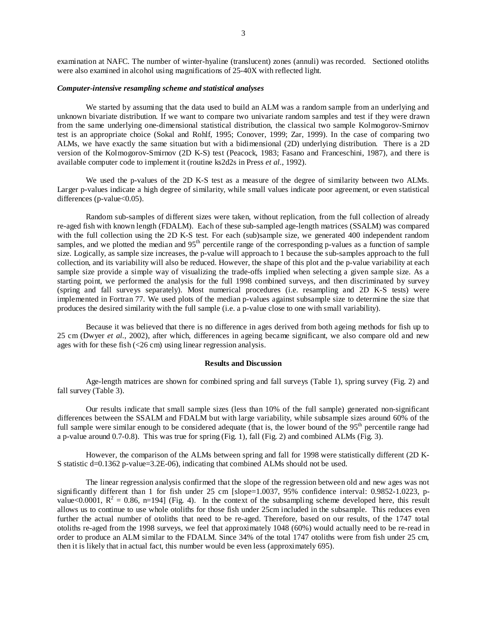examination at NAFC. The number of winter-hyaline (translucent) zones (annuli) was recorded. Sectioned otoliths were also examined in alcohol using magnifications of 25-40X with reflected light.

## *Computer-intensive resampling scheme and statistical analyses*

We started by assuming that the data used to build an ALM was a random sample from an underlying and unknown bivariate distribution. If we want to compare two univariate random samples and test if they were drawn from the same underlying one-dimensional statistical distribution, the classical two sample Kolmogorov-Smirnov test is an appropriate choice (Sokal and Rohlf, 1995; Conover, 1999; Zar, 1999). In the case of comparing two ALMs, we have exactly the same situation but with a bidimensional (2D) underlying distribution. There is a 2D version of the Kolmogorov-Smirnov (2D K-S) test (Peacock, 1983; Fasano and Franceschini, 1987), and there is available computer code to implement it (routine ks2d2s in Press *et al.*, 1992).

We used the p-values of the 2D K-S test as a measure of the degree of similarity between two ALMs. Larger p-values indicate a high degree of similarity, while small values indicate poor agreement, or even statistical differences ( $p$ -value $<0.05$ ).

Random sub-samples of different sizes were taken, without replication, from the full collection of already re-aged fish with known length (FDALM). Each of these sub-sampled age-length matrices (SSALM) was compared with the full collection using the 2D K-S test. For each (sub)sample size, we generated 400 independent random samples, and we plotted the median and 95<sup>th</sup> percentile range of the corresponding p-values as a function of sample size. Logically, as sample size increases, the p-value will approach to 1 because the sub-samples approach to the full collection, and its variability will also be reduced. However, the shape of this plot and the p-value variability at each sample size provide a simple way of visualizing the trade-offs implied when selecting a given sample size. As a starting point, we performed the analysis for the full 1998 combined surveys, and then discriminated by survey (spring and fall surveys separately). Most numerical procedures (i.e. resampling and 2D K-S tests) were implemented in Fortran 77. We used plots of the median p-values against subsample size to determine the size that produces the desired similarity with the full sample (i.e. a p-value close to one with small variability).

Because it was believed that there is no difference in ages derived from both ageing methods for fish up to 25 cm (Dwyer *et al.*, 2002), after which, differences in ageing became significant, we also compare old and new ages with for these fish (<26 cm) using linear regression analysis.

## **Results and Discussion**

Age-length matrices are shown for combined spring and fall surveys (Table 1), spring survey (Fig. 2) and fall survey (Table 3).

Our results indicate that small sample sizes (less than 10% of the full sample) generated non-significant differences between the SSALM and FDALM but with large variability, while subsample sizes around 60% of the full sample were similar enough to be considered adequate (that is, the lower bound of the 95<sup>th</sup> percentile range had a p-value around 0.7-0.8). This was true for spring (Fig. 1), fall (Fig. 2) and combined ALMs (Fig. 3).

However, the comparison of the ALMs between spring and fall for 1998 were statistically different (2D K-S statistic d=0.1362 p-value=3.2E-06), indicating that combined ALMs should not be used.

The linear regression analysis confirmed that the slope of the regression between old and new ages was not significantly different than 1 for fish under 25 cm [slope=1.0037, 95% confidence interval: 0.9852-1.0223, pvalue<0.0001,  $R^2 = 0.86$ , n=194] (Fig. 4). In the context of the subsampling scheme developed here, this result allows us to continue to use whole otoliths for those fish under 25cm included in the subsample. This reduces even further the actual number of otoliths that need to be re-aged. Therefore, based on our results, of the 1747 total otoliths re-aged from the 1998 surveys, we feel that approximately 1048 (60%) would actually need to be re-read in order to produce an ALM similar to the FDALM. Since 34% of the total 1747 otoliths were from fish under 25 cm, then it is likely that in actual fact, this number would be even less (approximately 695).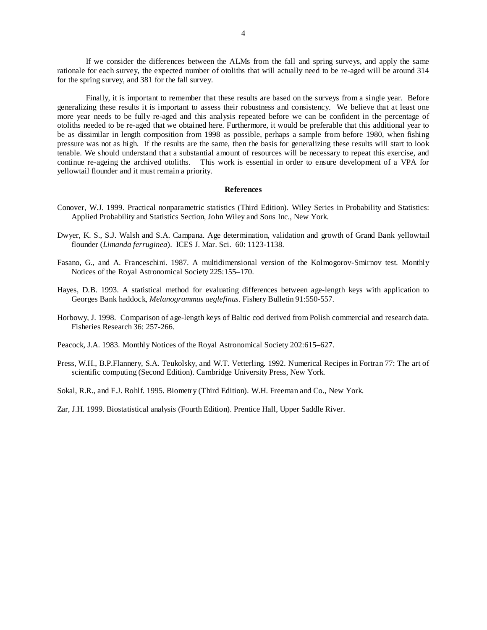If we consider the differences between the ALMs from the fall and spring surveys, and apply the same rationale for each survey, the expected number of otoliths that will actually need to be re-aged will be around 314 for the spring survey, and 381 for the fall survey.

Finally, it is important to remember that these results are based on the surveys from a single year. Before generalizing these results it is important to assess their robustness and consistency. We believe that at least one more year needs to be fully re-aged and this analysis repeated before we can be confident in the percentage of otoliths needed to be re-aged that we obtained here. Furthermore, it would be preferable that this additional year to be as dissimilar in length composition from 1998 as possible, perhaps a sample from before 1980, when fishing pressure was not as high. If the results are the same, then the basis for generalizing these results will start to look tenable. We should understand that a substantial amount of resources will be necessary to repeat this exercise, and continue re-ageing the archived otoliths. This work is essential in order to ensure development of a VPA for yellowtail flounder and it must remain a priority.

### **References**

- Conover, W.J. 1999. Practical nonparametric statistics (Third Edition). Wiley Series in Probability and Statistics: Applied Probability and Statistics Section, John Wiley and Sons Inc., New York.
- Dwyer, K. S., S.J. Walsh and S.A. Campana. Age determination, validation and growth of Grand Bank yellowtail flounder (*Limanda ferruginea*). ICES J. Mar. Sci. 60: 1123-1138.
- Fasano, G., and A. Franceschini. 1987. A multidimensional version of the Kolmogorov-Smirnov test. Monthly Notices of the Royal Astronomical Society 225:155–170.
- Hayes, D.B. 1993. A statistical method for evaluating differences between age-length keys with application to Georges Bank haddock, *Melanogrammus aeglefinus*. Fishery Bulletin 91:550-557.
- Horbowy, J. 1998. Comparison of age-length keys of Baltic cod derived from Polish commercial and research data. Fisheries Research 36: 257-266.
- Peacock, J.A. 1983. Monthly Notices of the Royal Astronomical Society 202:615–627.
- Press, W.H., B.P.Flannery, S.A. Teukolsky, and W.T. Vetterling. 1992. Numerical Recipes in Fortran 77: The art of scientific computing (Second Edition). Cambridge University Press, New York.
- Sokal, R.R., and F.J. Rohlf. 1995. Biometry (Third Edition). W.H. Freeman and Co., New York.

Zar, J.H. 1999. Biostatistical analysis (Fourth Edition). Prentice Hall, Upper Saddle River.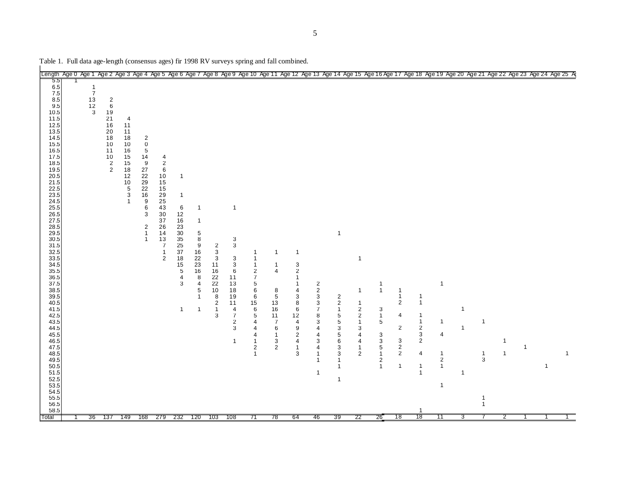| Table 1. Full data age-length (consensus ages) fir 1998 RV surveys spring and fall combined.                                                                                                                                                                                                                                                                                                                                    |                                                                                |                                                                                                |                                                                                                                               |                                                                                                                                                                                                     |                                                                                                                                                       |                                                                                                                                                                                   |                                                                                                                                                                  |                                                                                          |                                                                                                                                                                                                |                                                                                                                                                                                                           |                                                                                                                                      |                                                                                                                                                                                   |                                                                                                                                                                                                                             |                                                                                                                                                                                                                                                        |                                                                                                                            |                                                                                                                    |                                                                                                                   |                                                                                                                                                           |                                                                                                |                                              |                                                                |                                |                |             |              |
|---------------------------------------------------------------------------------------------------------------------------------------------------------------------------------------------------------------------------------------------------------------------------------------------------------------------------------------------------------------------------------------------------------------------------------|--------------------------------------------------------------------------------|------------------------------------------------------------------------------------------------|-------------------------------------------------------------------------------------------------------------------------------|-----------------------------------------------------------------------------------------------------------------------------------------------------------------------------------------------------|-------------------------------------------------------------------------------------------------------------------------------------------------------|-----------------------------------------------------------------------------------------------------------------------------------------------------------------------------------|------------------------------------------------------------------------------------------------------------------------------------------------------------------|------------------------------------------------------------------------------------------|------------------------------------------------------------------------------------------------------------------------------------------------------------------------------------------------|-----------------------------------------------------------------------------------------------------------------------------------------------------------------------------------------------------------|--------------------------------------------------------------------------------------------------------------------------------------|-----------------------------------------------------------------------------------------------------------------------------------------------------------------------------------|-----------------------------------------------------------------------------------------------------------------------------------------------------------------------------------------------------------------------------|--------------------------------------------------------------------------------------------------------------------------------------------------------------------------------------------------------------------------------------------------------|----------------------------------------------------------------------------------------------------------------------------|--------------------------------------------------------------------------------------------------------------------|-------------------------------------------------------------------------------------------------------------------|-----------------------------------------------------------------------------------------------------------------------------------------------------------|------------------------------------------------------------------------------------------------|----------------------------------------------|----------------------------------------------------------------|--------------------------------|----------------|-------------|--------------|
| Length Age 0 Age 1 Age 2 Age 3 Age 4 Age 5 Age 6 Age 7 Age 8 Age 9 Age 10 Age 11 Age 12 Age 13 Age 15 Age 17 Age 17 Age 18 Age 19 Age 20 Age 21 Age 22 Age 23 Age 24 Age 25 Age 25 Age 25 Age 25 Age 26 Age 26 Age 26 Age 26 A                                                                                                                                                                                                  |                                                                                |                                                                                                |                                                                                                                               |                                                                                                                                                                                                     |                                                                                                                                                       |                                                                                                                                                                                   |                                                                                                                                                                  |                                                                                          |                                                                                                                                                                                                |                                                                                                                                                                                                           |                                                                                                                                      |                                                                                                                                                                                   |                                                                                                                                                                                                                             |                                                                                                                                                                                                                                                        |                                                                                                                            |                                                                                                                    |                                                                                                                   |                                                                                                                                                           |                                                                                                |                                              |                                                                |                                |                |             |              |
| 5.5<br>6.5<br>7.5<br>8.5<br>9.5<br>10.5<br>11.5<br>12.5<br>13.5<br>14.5<br>15.5<br>16.5<br>17.5<br>18.5<br>19.5<br>20.5<br>21.5<br>22.5<br>23.5<br>24.5<br>25.5<br>26.5<br>27.5<br>28.5<br>29.5<br>30.5<br>31.5<br>32.5<br>33.5<br>34.5<br>35.5<br>36.5<br>37.5<br>38.5<br>39.5<br>40.5<br>41.5<br>42.5<br>43.5<br>44.5<br>45.5<br>46.5<br>47.5<br>48.5<br>49.5<br>50.5<br>51.5<br>52.5<br>53.5<br>54.5<br>55.5<br>56.5<br>58.5 | $\mathbf{1}$<br>$\overline{7}$<br>13<br>$\begin{array}{c} 12 \\ 3 \end{array}$ | $\overline{2}$<br>$\,6\,$<br>19<br>21<br>16<br>$20\,$<br>18<br>10<br>11<br>10<br>$\frac{2}{2}$ | 4<br>11<br>11<br>18<br>10<br>16<br>15<br>15<br>$\frac{18}{12}$<br>$\begin{array}{c} 10 \\ 5 \\ 3 \end{array}$<br>$\mathbf{1}$ | $\mathbf{2}$<br>$\mathbf 0$<br>$\overline{5}$<br>14<br>$9\,$<br>27<br>22<br>29<br>$\frac{22}{16}$<br>9<br>6<br>$\ensuremath{\mathsf{3}}$<br>$\overline{\mathbf{c}}$<br>$\mathbf{1}$<br>$\mathbf{1}$ | 4<br>$\overline{2}$<br>$\,6\,$<br>10<br>15<br>15<br>29<br>25<br>43<br>30<br>37<br>26<br>14<br>13<br>$\overline{7}$<br>$\mathbf 1$<br>$\boldsymbol{2}$ | $\mathbf{1}$<br>$\overline{1}$<br>6<br>12<br>16<br>23<br>30 <sup>2</sup><br>$\overline{35}$<br>25<br>37<br>18<br>$\begin{array}{c} 15 \\ 5 \end{array}$<br>4<br>3<br>$\mathbf{1}$ | $\mathbf{1}$<br>$\mathbf{1}$<br>$\sqrt{5}$<br>$\overline{8}$<br>9<br>16<br>22<br>23<br>16<br>8<br>$\overline{\mathbf{4}}$<br>5<br>$\mathbf{1}$<br>$\overline{1}$ | $\frac{2}{3}$<br>3<br>11<br>16<br>22<br>22<br>10<br>8<br>$\sqrt{2}$<br>$\mathbf{1}$<br>3 | $\mathbf{1}$<br>$\sqrt{3}$<br>$\ensuremath{\mathsf{3}}$<br>$\mathbf{3}$<br>3<br>$\,6$<br>11<br>13<br>18<br>19<br>11<br>$\overline{4}$<br>$\overline{7}$<br>$\overline{c}$<br>3<br>$\mathbf{1}$ | 1<br>$\mathbf{1}$<br>$\mathbf{1}$<br>$\sqrt{2}$<br>$\boldsymbol{7}$<br>$\begin{array}{c} 5 \\ 6 \end{array}$<br>6<br>$\begin{array}{c} 15 \\ 6 \end{array}$<br>5<br>4<br>4<br>4<br>1<br>2<br>$\mathbf{1}$ | $\mathbf{1}$<br>$\mathbf{1}$<br>$\overline{4}$<br>8<br>5<br>13<br>16<br>11<br>$\overline{7}$<br>6<br>$\mathbf{1}$<br>3<br>$\sqrt{2}$ | $\overline{1}$<br>3<br>$\boldsymbol{2}$<br>-1<br>-1<br>4<br>3<br>8<br>$\,6\,$<br>12<br>$\overline{\mathbf{4}}$<br>9<br>$\overline{\mathbf{c}}$<br>$\sqrt{4}$<br>$\mathbf{1}$<br>3 | $\begin{array}{c} 2 \\ 2 \\ 3 \end{array}$<br>$\begin{array}{c} 3 \\ 7 \\ 8 \end{array}$<br>$\mathsf 3$<br>$\overline{4}$<br>$\overline{4}$<br>$\sqrt{3}$<br>$\overline{4}$<br>$\mathbf{1}$<br>$\mathbf{1}$<br>$\mathbf{1}$ | $\mathbf{1}$<br>$\overline{\mathbf{c}}$<br>$\sqrt{2}$<br>$\mathbf{1}$<br>$\sqrt{5}$<br>$\,$ 5 $\,$<br>$\ensuremath{\mathsf{3}}$<br>$\,$ 5 $\,$<br>$\,6$<br>$\ensuremath{\mathsf{3}}$<br>$\ensuremath{\mathsf{3}}$<br>1<br>$\mathbf{1}$<br>$\mathbf{1}$ | $\mathbf{1}$<br>$\mathbf{1}$<br>$\mathbf{1}$<br>$\frac{2}{2}$<br>$\mathbf{1}$<br>3<br>4<br>4<br>$\mathbf{1}$<br>$\sqrt{2}$ | $\mathbf{1}$<br>$\mathbf{1}$<br>3<br>$\mathbf{1}$<br>5<br>3<br>$\mathsf 3$<br>$\sqrt{5}$<br>1<br>2<br>$\mathbf{1}$ | -1<br>$\mathbf{1}$<br>$\overline{2}$<br>4<br>$\overline{c}$<br>3<br>$\mathbf 2$<br>$\overline{2}$<br>$\mathbf{1}$ | $\mathbf{1}$<br>$\mathbf{1}$<br>$\mathbf{1}$<br>$\mathbf{1}$<br>$\sqrt{2}$<br>3<br>$\overline{2}$<br>$\overline{4}$<br>$\mathbf{1}$<br>$\mathbf{1}$<br>-1 | $\overline{1}$<br>$\mathbf{1}$<br>4<br>$\mathbf{1}$<br>$\,2$<br>$\mathbf{1}$<br>$\overline{1}$ | $\mathbf{1}$<br>$\mathbf{1}$<br>$\mathbf{1}$ | $\mathbf{1}$<br>1<br>$\sqrt{3}$<br>$\mathbf 1$<br>$\mathbf{1}$ | $\overline{1}$<br>$\mathbf{1}$ | $\overline{1}$ | $\mathbf 1$ | $\mathbf{1}$ |
| Total                                                                                                                                                                                                                                                                                                                                                                                                                           | 36                                                                             | -137                                                                                           | 149                                                                                                                           | 168                                                                                                                                                                                                 | 279 232                                                                                                                                               |                                                                                                                                                                                   | 120                                                                                                                                                              | 103                                                                                      | 108                                                                                                                                                                                            | 71                                                                                                                                                                                                        | 78                                                                                                                                   | 64                                                                                                                                                                                | 46                                                                                                                                                                                                                          | 39                                                                                                                                                                                                                                                     | 22                                                                                                                         | 26                                                                                                                 | 78                                                                                                                | 18                                                                                                                                                        | 11                                                                                             | 3                                            |                                                                | 2                              |                |             |              |

Table 1. Full data age-length (consensus ages) fir 1998 RV surveys spring and fall combined.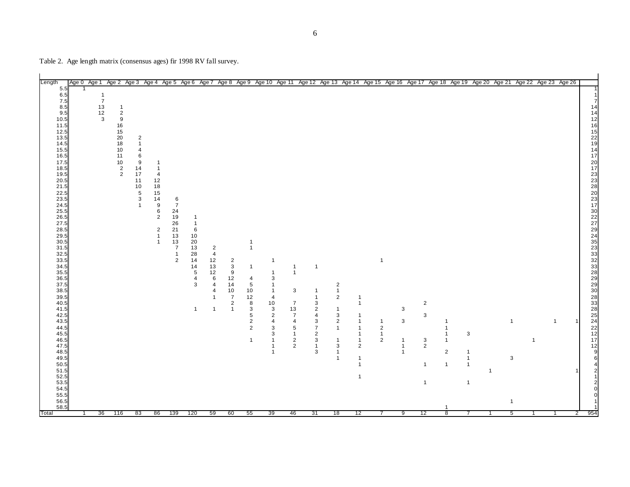Table 2. Age length matrix (consensus ages) fir 1998 RV fall survey.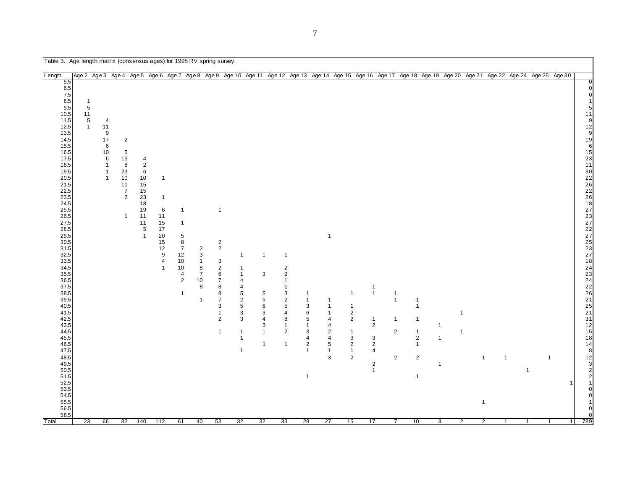Table 3. Age length matrix (consensus ages) for 1998 RV spring survey.

| Length                                                                                                                                                                                                                                                                                                                                                                                                                                           | Age 2 Age 3 Age 4 Age 5 Age 6 Age 7 Age 8 Age 9 Age 10 Age 11 Age 12 Age 13 Age 14 Age 15 Age 16 Age 17 Age 18 Age 19 Age 20 Age 21 Age 22 Age 24 Age 25 Age 30 |                                                                                                  |                                                                                                             |                                                                                                                 |                                                                                                                      |                                                                                                                                            |                                                                                                 |                                                                                                                                                                                                         |                                                                                                                                                               |                                                                                                    |                                                                                                                                                                             |                                                                                                                                    |                                                                                                                  |                                                                                                                                                                         |                                                                                                                                 |                                                                                           |                                                                                                                         |                               |                                                |                                                |                   |                     |                |                    |                                                                                                                                                                                                                                                                                                                                                                 |
|--------------------------------------------------------------------------------------------------------------------------------------------------------------------------------------------------------------------------------------------------------------------------------------------------------------------------------------------------------------------------------------------------------------------------------------------------|-----------------------------------------------------------------------------------------------------------------------------------------------------------------|--------------------------------------------------------------------------------------------------|-------------------------------------------------------------------------------------------------------------|-----------------------------------------------------------------------------------------------------------------|----------------------------------------------------------------------------------------------------------------------|--------------------------------------------------------------------------------------------------------------------------------------------|-------------------------------------------------------------------------------------------------|---------------------------------------------------------------------------------------------------------------------------------------------------------------------------------------------------------|---------------------------------------------------------------------------------------------------------------------------------------------------------------|----------------------------------------------------------------------------------------------------|-----------------------------------------------------------------------------------------------------------------------------------------------------------------------------|------------------------------------------------------------------------------------------------------------------------------------|------------------------------------------------------------------------------------------------------------------|-------------------------------------------------------------------------------------------------------------------------------------------------------------------------|---------------------------------------------------------------------------------------------------------------------------------|-------------------------------------------------------------------------------------------|-------------------------------------------------------------------------------------------------------------------------|-------------------------------|------------------------------------------------|------------------------------------------------|-------------------|---------------------|----------------|--------------------|-----------------------------------------------------------------------------------------------------------------------------------------------------------------------------------------------------------------------------------------------------------------------------------------------------------------------------------------------------------------|
| 5.5<br>6.5<br>$7.5\,$<br>8.5<br>9.5<br>10.5<br>11.5<br>12.5<br>13.5<br>14.5<br>15.5<br>16.5<br>17.5<br>18.5<br>19.5<br>20.5<br>21.5<br>22.5<br>23.5<br>24.5<br>25.5<br>26.5<br>27.5<br>28.5<br>29.5<br>30.5<br>31.5<br>32.5<br>33.5<br>34.5<br>35.5<br>36.5<br>37.5<br>$38.5\,$<br>39.5<br>40.5<br>41.5<br>42.5<br>43.5<br>44.5<br>45.5<br>46.5<br>47.5<br>48.5<br>49.5<br>50.5<br>51.5<br>52.5<br>53.5<br>54.5<br>55.5<br>56.5<br>58.5<br>Total | $\mathbf{1}$<br>$\,$ 5 $\,$<br>11<br>$\,$ 5 $\,$<br>$\mathbf{1}$<br>23                                                                                          | 4<br>$11$<br>9<br>$17$<br>6<br>$10\,$<br>6<br>$\mathbf{1}$<br>$\mathbf{1}$<br>$\mathbf{1}$<br>66 | $\overline{c}$<br>5<br>13<br>8<br>$23\,$<br>10<br>11<br>$\overline{7}$<br>$\mathbf 2$<br>$\mathbf{1}$<br>82 | 4<br>$\mathbf 2$<br>6<br>$10$<br>15<br>$15$<br>23<br>18<br>19<br>11<br>11<br>$\,$ 5 $\,$<br>$\mathbf{1}$<br>140 | $\mathbf{1}$<br>$\overline{1}$<br>6<br>11<br>15<br>$17$<br>20<br>$\frac{15}{12}$<br>$\pmb{4}$<br>$\mathbf{1}$<br>112 | $\overline{1}$<br>$\overline{1}$<br>$\sqrt{5}$<br>$\,8\,$<br>$\overline{7}$<br>12<br>10<br>10<br>4<br>$\overline{c}$<br>$\mathbf{1}$<br>61 | $\overline{2}$<br>3<br>$\overline{1}$<br>8<br>$\overline{7}$<br>10<br>8<br>$\overline{1}$<br>40 | $\overline{1}$<br>$\frac{2}{2}$<br>$\ensuremath{\mathsf{3}}$<br>$\overline{\mathbf{c}}$<br>6<br>$\overline{7}$<br>8<br>8<br>$\overline{7}$<br>3<br>$\mathbf{1}$<br>$\overline{2}$<br>$\mathbf{1}$<br>53 | $\mathbf{1}$<br>$\mathbf{1}$<br>$\mathbf{1}$<br>4<br>$\overline{a}$<br>5<br>$\sqrt{2}$<br>5<br>3<br>3<br>$\mathbf{1}$<br>$\mathbf{1}$<br>$\overline{1}$<br>32 | $\mathbf{1}$<br>3<br>5<br>5<br>6<br>3<br>$\overline{4}$<br>3<br>$\mathbf{1}$<br>$\mathbf{1}$<br>32 | $\overline{1}$<br>$\overline{c}$<br>$\overline{2}$<br>$\overline{1}$<br>$\overline{1}$<br>3<br>$\overline{2}$<br>5<br>4<br>8<br>1<br>$\overline{2}$<br>$\overline{1}$<br>33 | $\mathbf{1}$<br>$\mathbf{1}$<br>3<br>6<br>$\sqrt{5}$<br>$\mathbf{1}$<br>3<br>4<br>$\sqrt{2}$<br>$\mathbf{1}$<br>$\mathbf{1}$<br>28 | $\mathbf{1}$<br>1<br>1<br>$\mathbf{1}$<br>4<br>4<br>$\overline{\mathbf{c}}$<br>4<br>5<br>$\mathbf{1}$<br>3<br>27 | $\mathbf{1}$<br>$\mathbf{1}$<br>$\overline{\mathbf{c}}$<br>$\mathbf 2$<br>$\mathbf{1}$<br>3<br>$\overline{\mathbf{c}}$<br>$\mathbf{1}$<br>$\overline{\mathbf{c}}$<br>15 | $\mathbf{1}$<br>$\mathbf{1}$<br>$\mathbf{1}$<br>$\mathbf 2$<br>3<br>$\overline{c}$<br>4<br>$\overline{c}$<br>$\mathbf{1}$<br>17 | $\overline{1}$<br>$\overline{1}$<br>$\mathbf{1}$<br>$\overline{c}$<br>$\overline{c}$<br>7 | -1<br>$\overline{1}$<br>$\mathbf{1}$<br>$\mathbf{1}$<br>$\sqrt{2}$<br>$\mathbf{1}$<br>$\mathbf 2$<br>$\mathbf{1}$<br>10 | $\mathbf{1}$<br>-1<br>-1<br>3 | $\mathbf{1}$<br>$\mathbf{1}$<br>$\overline{2}$ | $\mathbf{1}$<br>$\mathbf{1}$<br>$\overline{2}$ | $\mathbf{1}$<br>1 | $\overline{1}$<br>1 | $\overline{1}$ | -1<br>$\mathbf{1}$ | <sup>0</sup><br>11<br>9<br>$12$<br>9<br>19<br>6<br>$\begin{array}{c} 15 \\ 23 \\ 11 \end{array}$<br>30<br>226<br>226<br>226<br>3222<br>227<br>237<br>2227<br>237<br>226<br>24<br>226<br>24<br>226<br>24<br>226<br>24<br>226<br>24<br>225<br>24<br>24<br>24<br>24<br>24<br>24<br>24<br>24<br>24<br>25<br>15<br>18<br>14<br>8<br>12<br>3<br>$\overline{2}$<br>789 |

┓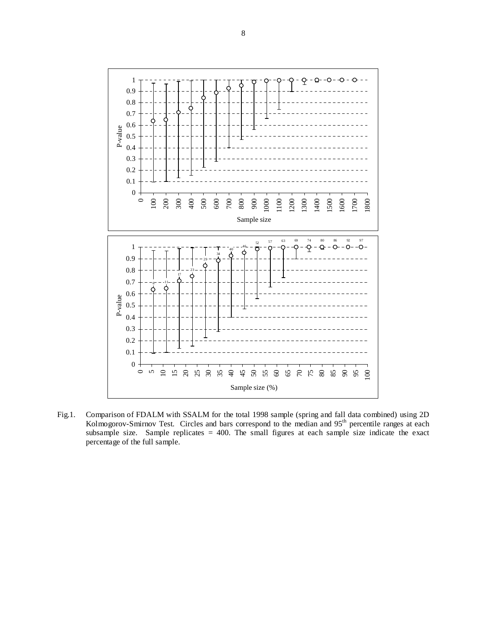

Fig.1. Comparison of FDALM with SSALM for the total 1998 sample (spring and fall data combined) using 2D Kolmogorov-Smirnov Test. Circles and bars correspond to the median and 95<sup>th</sup> percentile ranges at each subsample size. Sample replicates = 400. The small figures at each sample size indicate the exact percentage of the full sample.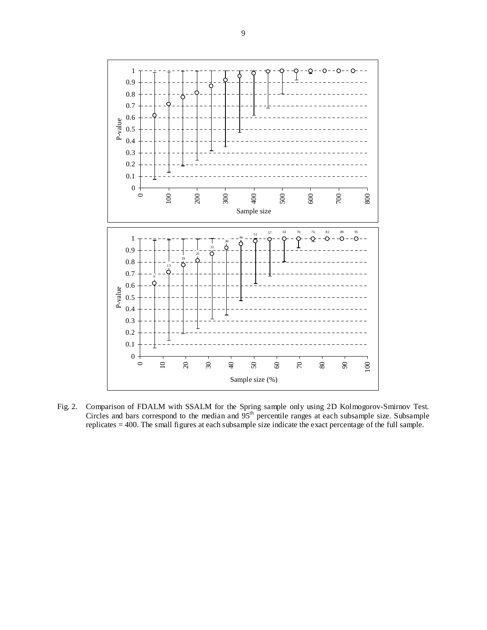

Fig. 2. Comparison of FDALM with SSALM for the Spring sample only using 2D Kolmogorov-Smirnov Test. Circles and bars correspond to the median and  $95<sup>th</sup>$  percentile ranges at each subsample size. Subsample replicates = 400. The small figures at each subsample size indicate the exact percentage of the full sample.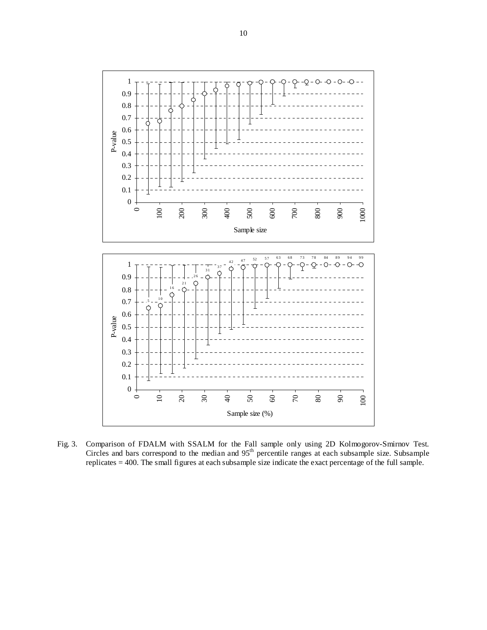

Fig. 3. Comparison of FDALM with SSALM for the Fall sample only using 2D Kolmogorov-Smirnov Test. Circles and bars correspond to the median and 95<sup>th</sup> percentile ranges at each subsample size. Subsample replicates = 400. The small figures at each subsample size indicate the exact percentage of the full sample.